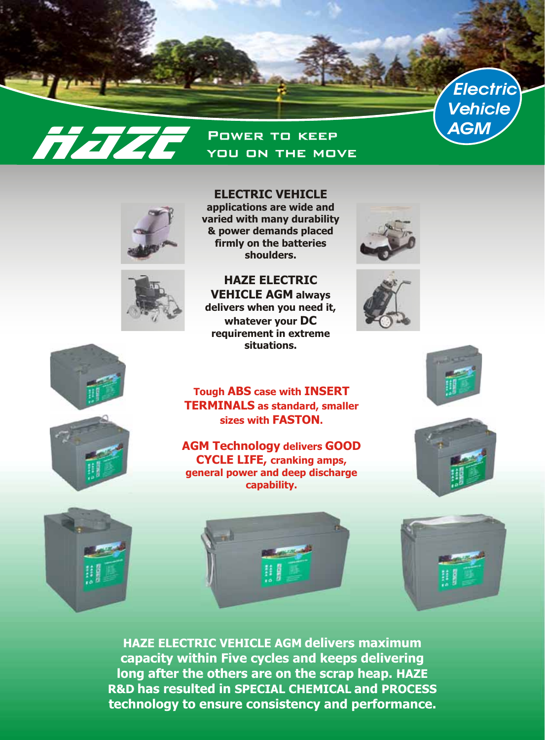

## Power to keep *AGM* **Haze** you on the move





## **ELECTRIC VEHICLE**

**applications are wide and varied with many durability & power demands placed firmly on the batteries shoulders.**

**HAZE ELECTRIC VEHICLE AGM always delivers when you need it, whatever your DC requirement in extreme situations.**







**Tough ABS case with INSERT TERMINALS as standard, smaller sizes with FASTON.**

**AGM Technology delivers GOOD CYCLE LIFE, cranking amps, general power and deep discharge capability.**





**HAZE ELECTRIC VEHICLE AGM delivers maximum capacity within Five cycles and keeps delivering long after the others are on the scrap heap. HAZE R&D has resulted in SPECIAL CHEMICAL and PROCESS technology to ensure consistency and performance.**